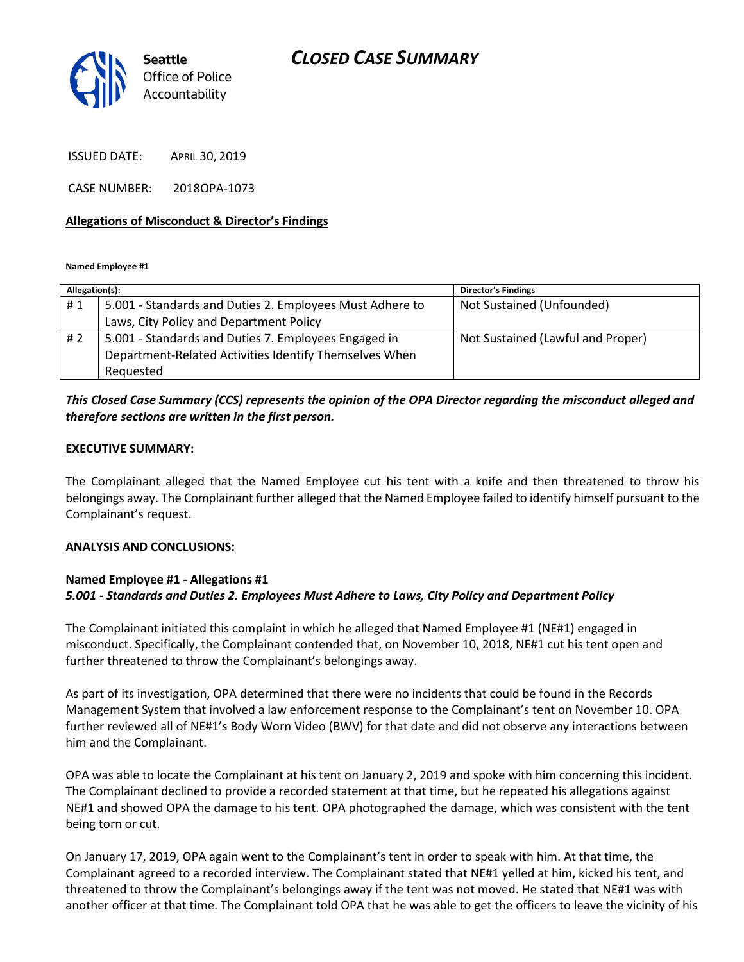

ISSUED DATE: APRIL 30, 2019

CASE NUMBER: 2018OPA-1073

#### **Allegations of Misconduct & Director's Findings**

**Named Employee #1**

| Allegation(s): |                                                          | <b>Director's Findings</b>        |
|----------------|----------------------------------------------------------|-----------------------------------|
| #1             | 5.001 - Standards and Duties 2. Employees Must Adhere to | Not Sustained (Unfounded)         |
|                | Laws, City Policy and Department Policy                  |                                   |
| # 2            | 5.001 - Standards and Duties 7. Employees Engaged in     | Not Sustained (Lawful and Proper) |
|                | Department-Related Activities Identify Themselves When   |                                   |
|                | Requested                                                |                                   |

## *This Closed Case Summary (CCS) represents the opinion of the OPA Director regarding the misconduct alleged and therefore sections are written in the first person.*

#### **EXECUTIVE SUMMARY:**

The Complainant alleged that the Named Employee cut his tent with a knife and then threatened to throw his belongings away. The Complainant further alleged that the Named Employee failed to identify himself pursuant to the Complainant's request.

#### **ANALYSIS AND CONCLUSIONS:**

### **Named Employee #1 - Allegations #1** *5.001 - Standards and Duties 2. Employees Must Adhere to Laws, City Policy and Department Policy*

The Complainant initiated this complaint in which he alleged that Named Employee #1 (NE#1) engaged in misconduct. Specifically, the Complainant contended that, on November 10, 2018, NE#1 cut his tent open and further threatened to throw the Complainant's belongings away.

As part of its investigation, OPA determined that there were no incidents that could be found in the Records Management System that involved a law enforcement response to the Complainant's tent on November 10. OPA further reviewed all of NE#1's Body Worn Video (BWV) for that date and did not observe any interactions between him and the Complainant.

OPA was able to locate the Complainant at his tent on January 2, 2019 and spoke with him concerning this incident. The Complainant declined to provide a recorded statement at that time, but he repeated his allegations against NE#1 and showed OPA the damage to his tent. OPA photographed the damage, which was consistent with the tent being torn or cut.

On January 17, 2019, OPA again went to the Complainant's tent in order to speak with him. At that time, the Complainant agreed to a recorded interview. The Complainant stated that NE#1 yelled at him, kicked his tent, and threatened to throw the Complainant's belongings away if the tent was not moved. He stated that NE#1 was with another officer at that time. The Complainant told OPA that he was able to get the officers to leave the vicinity of his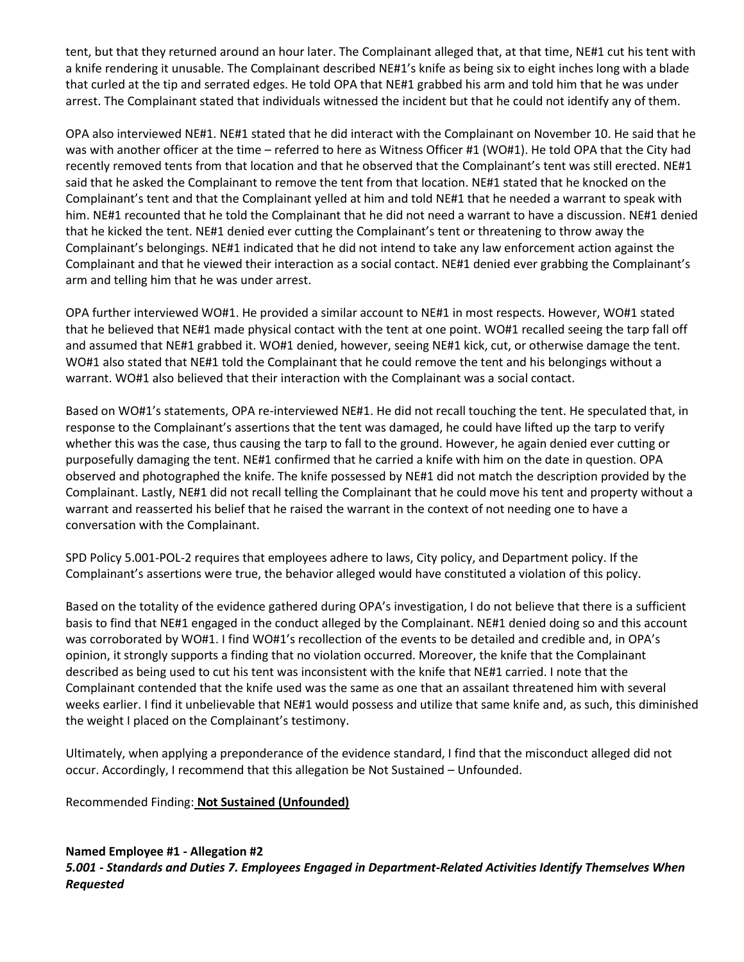tent, but that they returned around an hour later. The Complainant alleged that, at that time, NE#1 cut his tent with a knife rendering it unusable. The Complainant described NE#1's knife as being six to eight inches long with a blade that curled at the tip and serrated edges. He told OPA that NE#1 grabbed his arm and told him that he was under arrest. The Complainant stated that individuals witnessed the incident but that he could not identify any of them.

OPA also interviewed NE#1. NE#1 stated that he did interact with the Complainant on November 10. He said that he was with another officer at the time – referred to here as Witness Officer #1 (WO#1). He told OPA that the City had recently removed tents from that location and that he observed that the Complainant's tent was still erected. NE#1 said that he asked the Complainant to remove the tent from that location. NE#1 stated that he knocked on the Complainant's tent and that the Complainant yelled at him and told NE#1 that he needed a warrant to speak with him. NE#1 recounted that he told the Complainant that he did not need a warrant to have a discussion. NE#1 denied that he kicked the tent. NE#1 denied ever cutting the Complainant's tent or threatening to throw away the Complainant's belongings. NE#1 indicated that he did not intend to take any law enforcement action against the Complainant and that he viewed their interaction as a social contact. NE#1 denied ever grabbing the Complainant's arm and telling him that he was under arrest.

OPA further interviewed WO#1. He provided a similar account to NE#1 in most respects. However, WO#1 stated that he believed that NE#1 made physical contact with the tent at one point. WO#1 recalled seeing the tarp fall off and assumed that NE#1 grabbed it. WO#1 denied, however, seeing NE#1 kick, cut, or otherwise damage the tent. WO#1 also stated that NE#1 told the Complainant that he could remove the tent and his belongings without a warrant. WO#1 also believed that their interaction with the Complainant was a social contact.

Based on WO#1's statements, OPA re-interviewed NE#1. He did not recall touching the tent. He speculated that, in response to the Complainant's assertions that the tent was damaged, he could have lifted up the tarp to verify whether this was the case, thus causing the tarp to fall to the ground. However, he again denied ever cutting or purposefully damaging the tent. NE#1 confirmed that he carried a knife with him on the date in question. OPA observed and photographed the knife. The knife possessed by NE#1 did not match the description provided by the Complainant. Lastly, NE#1 did not recall telling the Complainant that he could move his tent and property without a warrant and reasserted his belief that he raised the warrant in the context of not needing one to have a conversation with the Complainant.

SPD Policy 5.001-POL-2 requires that employees adhere to laws, City policy, and Department policy. If the Complainant's assertions were true, the behavior alleged would have constituted a violation of this policy.

Based on the totality of the evidence gathered during OPA's investigation, I do not believe that there is a sufficient basis to find that NE#1 engaged in the conduct alleged by the Complainant. NE#1 denied doing so and this account was corroborated by WO#1. I find WO#1's recollection of the events to be detailed and credible and, in OPA's opinion, it strongly supports a finding that no violation occurred. Moreover, the knife that the Complainant described as being used to cut his tent was inconsistent with the knife that NE#1 carried. I note that the Complainant contended that the knife used was the same as one that an assailant threatened him with several weeks earlier. I find it unbelievable that NE#1 would possess and utilize that same knife and, as such, this diminished the weight I placed on the Complainant's testimony.

Ultimately, when applying a preponderance of the evidence standard, I find that the misconduct alleged did not occur. Accordingly, I recommend that this allegation be Not Sustained – Unfounded.

Recommended Finding: **Not Sustained (Unfounded)**

# **Named Employee #1 - Allegation #2** *5.001 - Standards and Duties 7. Employees Engaged in Department-Related Activities Identify Themselves When Requested*